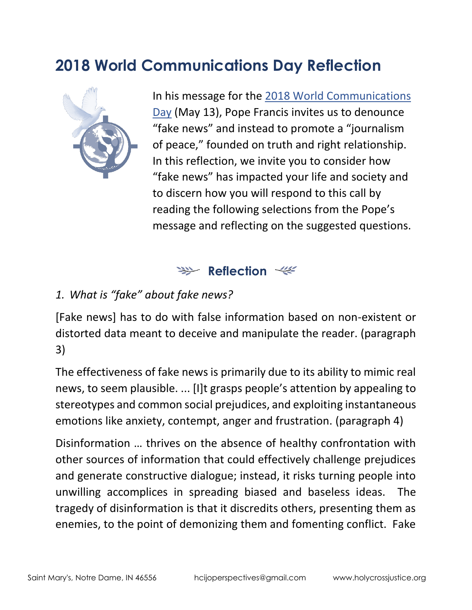# **2018 World Communications Day Reflection**



In his message for the [2018 World Communications](https://w2.vatican.va/content/francesco/en/messages/communications/documents/papa-francesco_20180124_messaggio-comunicazioni-sociali.html)  [Day](https://w2.vatican.va/content/francesco/en/messages/communications/documents/papa-francesco_20180124_messaggio-comunicazioni-sociali.html) (May 13), Pope Francis invites us to denounce "fake news" and instead to promote a "journalism of peace," founded on truth and right relationship. In this reflection, we invite you to consider how "fake news" has impacted your life and society and to discern how you will respond to this call by reading the following selections from the Pope's message and reflecting on the suggested questions.

### **Reflection**

#### *1. What is "fake" about fake news?*

[Fake news] has to do with false information based on non-existent or distorted data meant to deceive and manipulate the reader. (paragraph 3)

The effectiveness of fake news is primarily due to its ability to mimic real news, to seem plausible. ... [I]t grasps people's attention by appealing to stereotypes and common social prejudices, and exploiting instantaneous emotions like anxiety, contempt, anger and frustration. (paragraph 4)

Disinformation … thrives on the absence of healthy confrontation with other sources of information that could effectively challenge prejudices and generate constructive dialogue; instead, it risks turning people into unwilling accomplices in spreading biased and baseless ideas. The tragedy of disinformation is that it discredits others, presenting them as enemies, to the point of demonizing them and fomenting conflict. Fake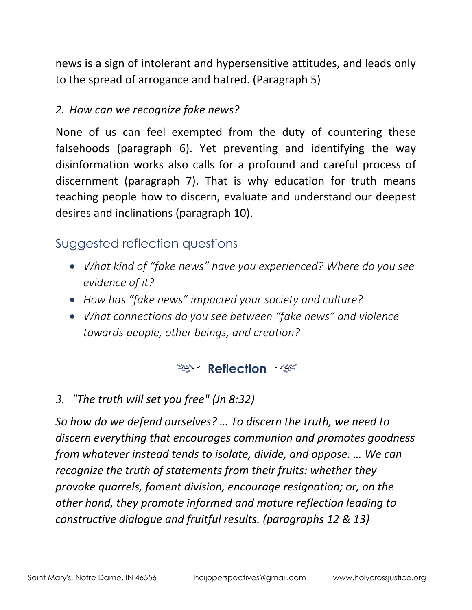news is a sign of intolerant and hypersensitive attitudes, and leads only to the spread of arrogance and hatred. (Paragraph 5)

#### *2. How can we recognize fake news?*

None of us can feel exempted from the duty of countering these falsehoods (paragraph 6). Yet preventing and identifying the way disinformation works also calls for a profound and careful process of discernment (paragraph 7). That is why education for truth means teaching people how to discern, evaluate and understand our deepest desires and inclinations (paragraph 10).

### Suggested reflection questions

- *What kind of "fake news" have you experienced? Where do you see evidence of it?*
- *How has "fake news" impacted your society and culture?*
- *What connections do you see between "fake news" and violence towards people, other beings, and creation?*

### **Reflection**

*3. "The truth will set you free" (Jn 8:32)*

*So how do we defend ourselves? … To discern the truth, we need to discern everything that encourages communion and promotes goodness from whatever instead tends to isolate, divide, and oppose. … We can recognize the truth of statements from their fruits: whether they provoke quarrels, foment division, encourage resignation; or, on the other hand, they promote informed and mature reflection leading to constructive dialogue and fruitful results. (paragraphs 12 & 13)*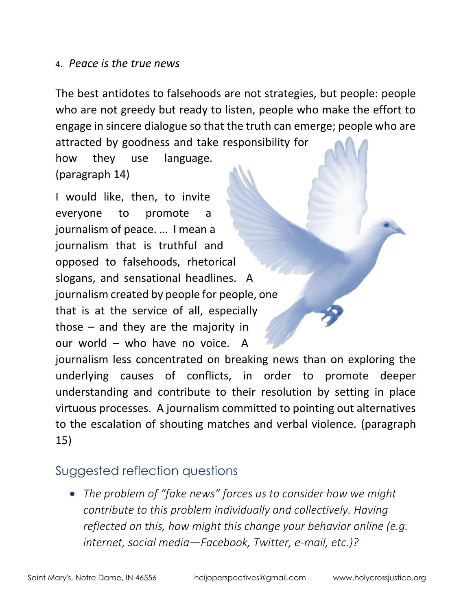#### 4. *Peace is the true news*

The best antidotes to falsehoods are not strategies, but people: people who are not greedy but ready to listen, people who make the effort to engage in sincere dialogue so that the truth can emerge; people who are attracted by goodness and take responsibility for

how they use language. (paragraph 14)

I would like, then, to invite everyone to promote a journalism of peace. … I mean a journalism that is truthful and opposed to falsehoods, rhetorical slogans, and sensational headlines. A journalism created by people for people, one that is at the service of all, especially those – and they are the majority in our world – who have no voice. A journalism less concentrated on breaking news than on exploring the underlying causes of conflicts, in order to promote deeper understanding and contribute to their resolution by setting in place virtuous processes. A journalism committed to pointing out alternatives

to the escalation of shouting matches and verbal violence. (paragraph 15)

## Suggested reflection questions

• *The problem of "fake news" forces us to consider how we might contribute to this problem individually and collectively. Having reflected on this, how might this change your behavior online (e.g. internet, social media—Facebook, Twitter, e-mail, etc.)?*